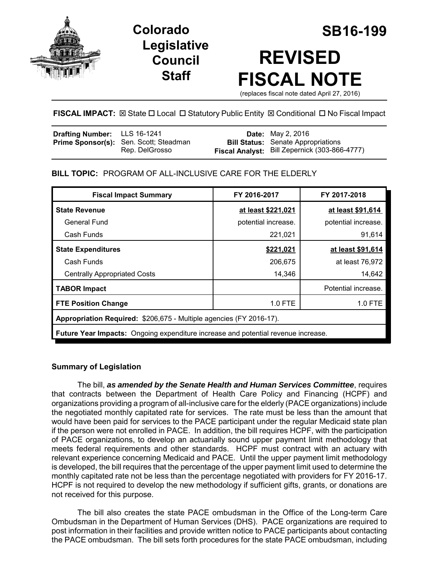

**Legislative Council Staff**

# **Colorado SB16-199 REVISED FISCAL NOTE**

(replaces fiscal note dated April 27, 2016)

# **FISCAL IMPACT:**  $\boxtimes$  **State □ Local □ Statutory Public Entity**  $\boxtimes$  **Conditional □ No Fiscal Impact**

| <b>Drafting Number:</b> LLS 16-1241 |                                               | <b>Date:</b> May 2, 2016                             |
|-------------------------------------|-----------------------------------------------|------------------------------------------------------|
|                                     | <b>Prime Sponsor(s):</b> Sen. Scott; Steadman | <b>Bill Status:</b> Senate Appropriations            |
|                                     | Rep. DelGrosso                                | <b>Fiscal Analyst:</b> Bill Zepernick (303-866-4777) |

# **BILL TOPIC:** PROGRAM OF ALL-INCLUSIVE CARE FOR THE ELDERLY

| <b>Fiscal Impact Summary</b>                                                             | FY 2016-2017        | FY 2017-2018        |  |  |  |
|------------------------------------------------------------------------------------------|---------------------|---------------------|--|--|--|
| <b>State Revenue</b>                                                                     | at least \$221,021  | at least \$91,614   |  |  |  |
| General Fund                                                                             | potential increase. | potential increase. |  |  |  |
| Cash Funds                                                                               | 221,021             | 91,614              |  |  |  |
| <b>State Expenditures</b>                                                                | \$221,021           | at least \$91,614   |  |  |  |
| Cash Funds                                                                               | 206,675             | at least 76,972     |  |  |  |
| <b>Centrally Appropriated Costs</b>                                                      | 14,346              | 14,642              |  |  |  |
| <b>TABOR Impact</b>                                                                      |                     | Potential increase. |  |  |  |
| <b>FTE Position Change</b>                                                               | 1.0 FTE             | 1.0 FTE             |  |  |  |
| Appropriation Required: \$206,675 - Multiple agencies (FY 2016-17).                      |                     |                     |  |  |  |
| <b>Future Year Impacts:</b> Ongoing expenditure increase and potential revenue increase. |                     |                     |  |  |  |

# **Summary of Legislation**

The bill, *as amended by the Senate Health and Human Services Committee*, requires that contracts between the Department of Health Care Policy and Financing (HCPF) and organizations providing a program of all-inclusive care for the elderly (PACE organizations) include the negotiated monthly capitated rate for services. The rate must be less than the amount that would have been paid for services to the PACE participant under the regular Medicaid state plan if the person were not enrolled in PACE. In addition, the bill requires HCPF, with the participation of PACE organizations, to develop an actuarially sound upper payment limit methodology that meets federal requirements and other standards. HCPF must contract with an actuary with relevant experience concerning Medicaid and PACE. Until the upper payment limit methodology is developed, the bill requires that the percentage of the upper payment limit used to determine the monthly capitated rate not be less than the percentage negotiated with providers for FY 2016-17. HCPF is not required to develop the new methodology if sufficient gifts, grants, or donations are not received for this purpose.

The bill also creates the state PACE ombudsman in the Office of the Long-term Care Ombudsman in the Department of Human Services (DHS). PACE organizations are required to post information in their facilities and provide written notice to PACE participants about contacting the PACE ombudsman. The bill sets forth procedures for the state PACE ombudsman, including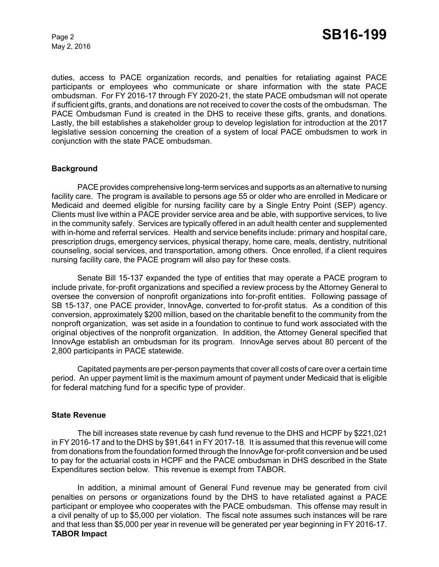May 2, 2016

duties, access to PACE organization records, and penalties for retaliating against PACE participants or employees who communicate or share information with the state PACE ombudsman. For FY 2016-17 through FY 2020-21, the state PACE ombudsman will not operate if sufficient gifts, grants, and donations are not received to cover the costs of the ombudsman. The PACE Ombudsman Fund is created in the DHS to receive these gifts, grants, and donations. Lastly, the bill establishes a stakeholder group to develop legislation for introduction at the 2017 legislative session concerning the creation of a system of local PACE ombudsmen to work in conjunction with the state PACE ombudsman.

#### **Background**

PACE provides comprehensive long-term services and supports as an alternative to nursing facility care. The program is available to persons age 55 or older who are enrolled in Medicare or Medicaid and deemed eligible for nursing facility care by a Single Entry Point (SEP) agency. Clients must live within a PACE provider service area and be able, with supportive services, to live in the community safely. Services are typically offered in an adult health center and supplemented with in-home and referral services. Health and service benefits include: primary and hospital care, prescription drugs, emergency services, physical therapy, home care, meals, dentistry, nutritional counseling, social services, and transportation, among others. Once enrolled, if a client requires nursing facility care, the PACE program will also pay for these costs.

Senate Bill 15-137 expanded the type of entities that may operate a PACE program to include private, for-profit organizations and specified a review process by the Attorney General to oversee the conversion of nonprofit organizations into for-profit entities. Following passage of SB 15-137, one PACE provider, InnovAge, converted to for-profit status. As a condition of this conversion, approximately \$200 million, based on the charitable benefit to the community from the nonproft organization, was set aside in a foundation to continue to fund work associated with the original objectives of the nonprofit organization. In addition, the Attorney General specified that InnovAge establish an ombudsman for its program. InnovAge serves about 80 percent of the 2,800 participants in PACE statewide.

Capitated payments are per-person payments that cover all costs of care over a certain time period. An upper payment limit is the maximum amount of payment under Medicaid that is eligible for federal matching fund for a specific type of provider.

#### **State Revenue**

The bill increases state revenue by cash fund revenue to the DHS and HCPF by \$221,021 in FY 2016-17 and to the DHS by \$91,641 in FY 2017-18. It is assumed that this revenue will come from donations from the foundation formed through the InnovAge for-profit conversion and be used to pay for the actuarial costs in HCPF and the PACE ombudsman in DHS described in the State Expenditures section below. This revenue is exempt from TABOR.

In addition, a minimal amount of General Fund revenue may be generated from civil penalties on persons or organizations found by the DHS to have retaliated against a PACE participant or employee who cooperates with the PACE ombudsman. This offense may result in a civil penalty of up to \$5,000 per violation. The fiscal note assumes such instances will be rare and that less than \$5,000 per year in revenue will be generated per year beginning in FY 2016-17. **TABOR Impact**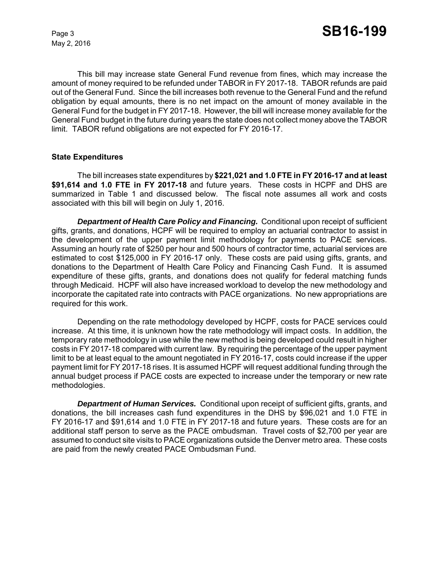May 2, 2016

This bill may increase state General Fund revenue from fines, which may increase the amount of money required to be refunded under TABOR in FY 2017-18. TABOR refunds are paid out of the General Fund. Since the bill increases both revenue to the General Fund and the refund obligation by equal amounts, there is no net impact on the amount of money available in the General Fund for the budget in FY 2017-18. However, the bill will increase money available for the General Fund budget in the future during years the state does not collect money above the TABOR limit. TABOR refund obligations are not expected for FY 2016-17.

#### **State Expenditures**

The bill increases state expenditures by **\$221,021 and 1.0 FTE in FY 2016-17 and at least \$91,614 and 1.0 FTE in FY 2017-18** and future years. These costs in HCPF and DHS are summarized in Table 1 and discussed below. The fiscal note assumes all work and costs associated with this bill will begin on July 1, 2016.

*Department of Health Care Policy and Financing.* Conditional upon receipt of sufficient gifts, grants, and donations, HCPF will be required to employ an actuarial contractor to assist in the development of the upper payment limit methodology for payments to PACE services. Assuming an hourly rate of \$250 per hour and 500 hours of contractor time, actuarial services are estimated to cost \$125,000 in FY 2016-17 only. These costs are paid using gifts, grants, and donations to the Department of Health Care Policy and Financing Cash Fund. It is assumed expenditure of these gifts, grants, and donations does not qualify for federal matching funds through Medicaid. HCPF will also have increased workload to develop the new methodology and incorporate the capitated rate into contracts with PACE organizations. No new appropriations are required for this work.

Depending on the rate methodology developed by HCPF, costs for PACE services could increase. At this time, it is unknown how the rate methodology will impact costs. In addition, the temporary rate methodology in use while the new method is being developed could result in higher costs in FY 2017-18 compared with current law. By requiring the percentage of the upper payment limit to be at least equal to the amount negotiated in FY 2016-17, costs could increase if the upper payment limit for FY 2017-18 rises. It is assumed HCPF will request additional funding through the annual budget process if PACE costs are expected to increase under the temporary or new rate methodologies.

*Department of Human Services.* Conditional upon receipt of sufficient gifts, grants, and donations, the bill increases cash fund expenditures in the DHS by \$96,021 and 1.0 FTE in FY 2016-17 and \$91,614 and 1.0 FTE in FY 2017-18 and future years. These costs are for an additional staff person to serve as the PACE ombudsman. Travel costs of \$2,700 per year are assumed to conduct site visits to PACE organizations outside the Denver metro area. These costs are paid from the newly created PACE Ombudsman Fund.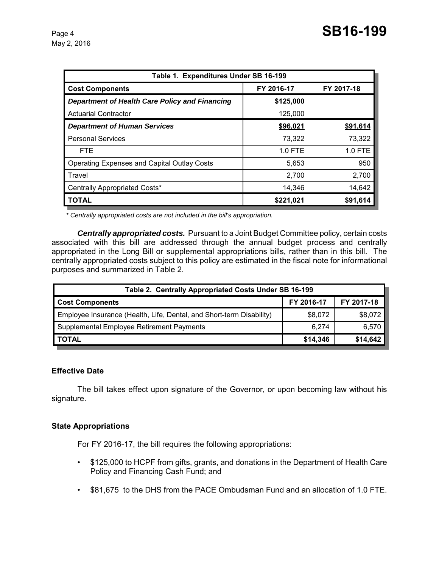| Table 1. Expenditures Under SB 16-199                 |            |            |  |  |  |  |
|-------------------------------------------------------|------------|------------|--|--|--|--|
| <b>Cost Components</b>                                | FY 2016-17 | FY 2017-18 |  |  |  |  |
| <b>Department of Health Care Policy and Financing</b> | \$125,000  |            |  |  |  |  |
| <b>Actuarial Contractor</b>                           | 125,000    |            |  |  |  |  |
| <b>Department of Human Services</b>                   | \$96,021   | \$91,614   |  |  |  |  |
| <b>Personal Services</b>                              | 73,322     | 73,322     |  |  |  |  |
| <b>FTE</b>                                            | $1.0$ FTE  | 1.0 FTE    |  |  |  |  |
| <b>Operating Expenses and Capital Outlay Costs</b>    | 5,653      | 950        |  |  |  |  |
| Travel                                                | 2,700      | 2,700      |  |  |  |  |
| Centrally Appropriated Costs*                         | 14,346     | 14,642     |  |  |  |  |
| <b>TOTAL</b>                                          | \$221,021  | \$91,614   |  |  |  |  |

 *\* Centrally appropriated costs are not included in the bill's appropriation.*

*Centrally appropriated costs.* Pursuant to a Joint Budget Committee policy, certain costs associated with this bill are addressed through the annual budget process and centrally appropriated in the Long Bill or supplemental appropriations bills, rather than in this bill. The centrally appropriated costs subject to this policy are estimated in the fiscal note for informational purposes and summarized in Table 2.

| Table 2. Centrally Appropriated Costs Under SB 16-199                |            |            |  |  |  |
|----------------------------------------------------------------------|------------|------------|--|--|--|
| <b>Cost Components</b>                                               | FY 2016-17 | FY 2017-18 |  |  |  |
| Employee Insurance (Health, Life, Dental, and Short-term Disability) | \$8,072    | \$8,072    |  |  |  |
| Supplemental Employee Retirement Payments                            | 6.274      | 6,570      |  |  |  |
| <b>TOTAL</b>                                                         | \$14,346   | \$14,642   |  |  |  |

# **Effective Date**

The bill takes effect upon signature of the Governor, or upon becoming law without his signature.

#### **State Appropriations**

For FY 2016-17, the bill requires the following appropriations:

- \$125,000 to HCPF from gifts, grants, and donations in the Department of Health Care Policy and Financing Cash Fund; and
- \$81,675 to the DHS from the PACE Ombudsman Fund and an allocation of 1.0 FTE.